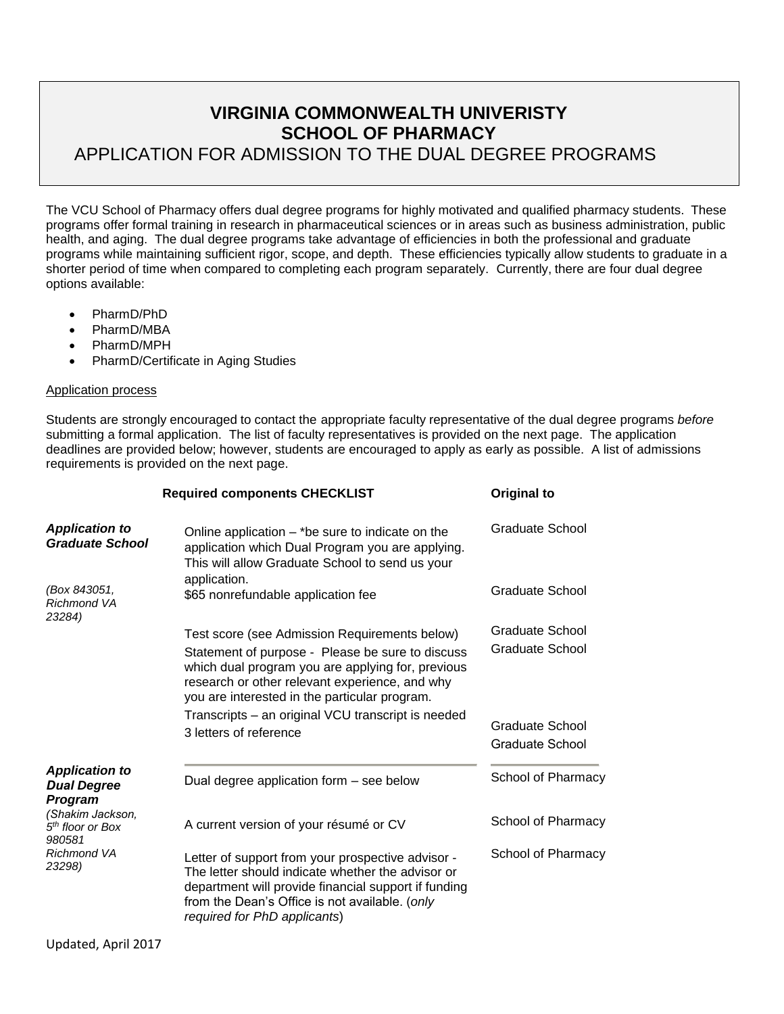# **VIRGINIA COMMONWEALTH UNIVERISTY SCHOOL OF PHARMACY** APPLICATION FOR ADMISSION TO THE DUAL DEGREE PROGRAMS

The VCU School of Pharmacy offers dual degree programs for highly motivated and qualified pharmacy students. These programs offer formal training in research in pharmaceutical sciences or in areas such as business administration, public health, and aging. The dual degree programs take advantage of efficiencies in both the professional and graduate programs while maintaining sufficient rigor, scope, and depth. These efficiencies typically allow students to graduate in a shorter period of time when compared to completing each program separately. Currently, there are four dual degree options available:

- PharmD/PhD
- PharmD/MBA
- PharmD/MPH
- PharmD/Certificate in Aging Studies

### Application process

Students are strongly encouraged to contact the appropriate faculty representative of the dual degree programs *before* submitting a formal application. The list of faculty representatives is provided on the next page. The application deadlines are provided below; however, students are encouraged to apply as early as possible. A list of admissions requirements is provided on the next page.

|                                                            | <b>Required components CHECKLIST</b>                                                                                                                                                                                                                      | Original to                               |
|------------------------------------------------------------|-----------------------------------------------------------------------------------------------------------------------------------------------------------------------------------------------------------------------------------------------------------|-------------------------------------------|
| <b>Application to</b><br><b>Graduate School</b>            | Online application $-$ *be sure to indicate on the<br>application which Dual Program you are applying.<br>This will allow Graduate School to send us your<br>application.                                                                                 |                                           |
| (Box 843051,<br><b>Richmond VA</b><br>23284)               | \$65 nonrefundable application fee                                                                                                                                                                                                                        | Graduate School                           |
|                                                            | Test score (see Admission Requirements below)<br>Statement of purpose - Please be sure to discuss<br>which dual program you are applying for, previous<br>research or other relevant experience, and why<br>you are interested in the particular program. | <b>Graduate School</b><br>Graduate School |
|                                                            | Transcripts - an original VCU transcript is needed<br>3 letters of reference                                                                                                                                                                              | Graduate School<br>Graduate School        |
| <b>Application to</b><br><b>Dual Degree</b><br>Program     | Dual degree application form - see below                                                                                                                                                                                                                  | School of Pharmacy                        |
| (Shakim Jackson,<br>5 <sup>th</sup> floor or Box<br>980581 | A current version of your résumé or CV                                                                                                                                                                                                                    | School of Pharmacy                        |
| <b>Richmond VA</b><br>23298)                               | Letter of support from your prospective advisor -<br>The letter should indicate whether the advisor or<br>department will provide financial support if funding<br>from the Dean's Office is not available. (only<br>required for PhD applicants)          | School of Pharmacy                        |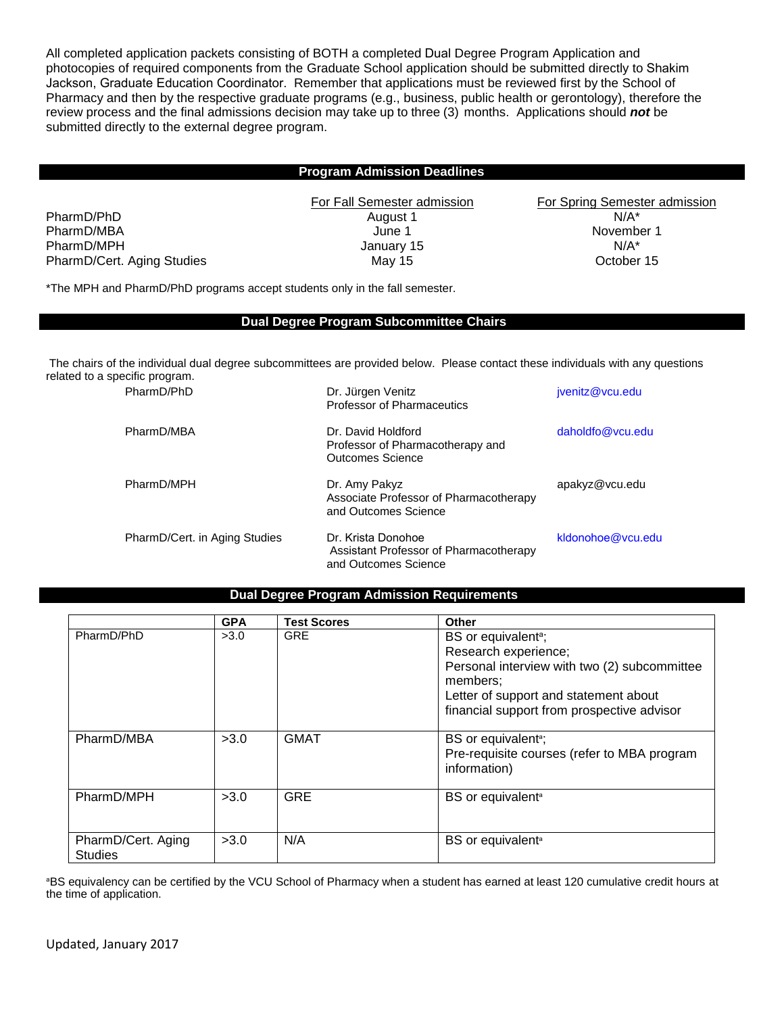All completed application packets consisting of BOTH a completed Dual Degree Program Application and photocopies of required components from the Graduate School application should be submitted directly to Shakim Jackson, Graduate Education Coordinator. Remember that applications must be reviewed first by the School of Pharmacy and then by the respective graduate programs (e.g., business, public health or gerontology), therefore the review process and the final admissions decision may take up to three (3) months. Applications should *not* be submitted directly to the external degree program.

#### **Program Admission Deadlines**

PharmD/PhD **August 1** August 1 **N/A\*** PharmD/MBA **Details and Allie 1** November 1 November 1 November 1 November 1 November 1 November 1 November 1 November 1 November 1 November 1 November 1 November 1 November 1 November 1 November 1 November 1 November 1 No PharmD/MPH **N/A\*** N/A\* N/A\* January 15 N/A\* N/A\* PharmD/Cert. Aging Studies **May 15** May 15 **October 15** October 15

For Fall Semester admission For Spring Semester admission

\*The MPH and PharmD/PhD programs accept students only in the fall semester.

### **Dual Degree Program Subcommittee Chairs**

The chairs of the individual dual degree subcommittees are provided below. Please contact these individuals with any questions related to a specific program.

| PharmD/PhD                    | Dr. Jürgen Venitz<br><b>Professor of Pharmaceutics</b>                               | jvenitz@vcu.edu   |
|-------------------------------|--------------------------------------------------------------------------------------|-------------------|
| PharmD/MBA                    | Dr. David Holdford<br>Professor of Pharmacotherapy and<br>Outcomes Science           | daholdfo@ycu.edu  |
| PharmD/MPH                    | Dr. Amy Pakyz<br>Associate Professor of Pharmacotherapy<br>and Outcomes Science      | apakyz@vcu.edu    |
| PharmD/Cert. in Aging Studies | Dr. Krista Donohoe<br>Assistant Professor of Pharmacotherapy<br>and Outcomes Science | kldonohoe@ycu.edu |

### **Dual Degree Program Admission Requirements**

|                                      | <b>GPA</b> | <b>Test Scores</b> | Other                                                       |
|--------------------------------------|------------|--------------------|-------------------------------------------------------------|
| PharmD/PhD                           | >3.0       | <b>GRE</b>         | BS or equivalent <sup>a</sup> ;                             |
|                                      |            |                    | Research experience;                                        |
|                                      |            |                    | Personal interview with two (2) subcommittee<br>members:    |
|                                      |            |                    | Letter of support and statement about                       |
|                                      |            |                    | financial support from prospective advisor                  |
| PharmD/MBA                           | >3.0       | <b>GMAT</b>        | BS or equivalent <sup>a</sup> ;                             |
|                                      |            |                    | Pre-requisite courses (refer to MBA program<br>information) |
| PharmD/MPH                           | >3.0       | <b>GRE</b>         | BS or equivalent <sup>a</sup>                               |
|                                      |            |                    |                                                             |
| PharmD/Cert. Aging<br><b>Studies</b> | >3.0       | N/A                | BS or equivalent <sup>a</sup>                               |

aBS equivalency can be certified by the VCU School of Pharmacy when a student has earned at least 120 cumulative credit hours at the time of application.